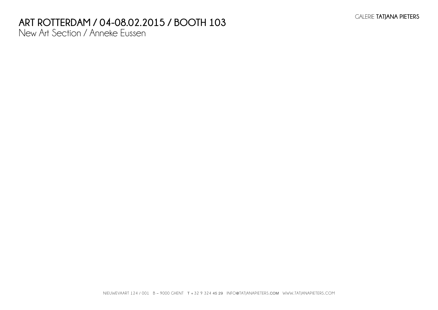# **Art Rotterdam / 04-08.02.2015 / BOOTH 103**

New Art Section / Anneke Eussen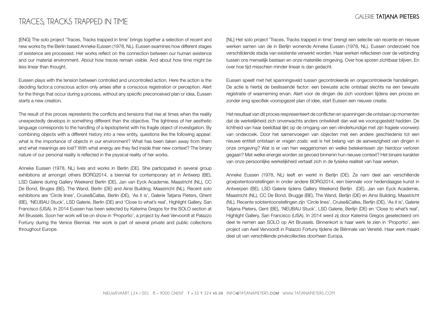## TRACES, TRACKS TRAPPED IN TIME

[ENG] The solo project 'Traces, Tracks trapped in time' brings together a selection of recent and new works by the Berlin based Anneke Eussen (1978, NL). Eussen examines how different stages of existence are processed. Her works reflect on the connection between our human existence and our material environment. About how traces remain visible. And about how time might be less linear than thought.

Eussen plays with the tension between controlled and uncontrolled action. Here the action is the deciding factor:a conscious action only arises after a conscious registration or perception. Alert for the things that occur during a process, without any specific preconceived plan or idea, Eussen starts a new creation.

The result of this proces represtents the conflicts and tensions that rise at times when the reality unexpectedly develops in something different than the objective. The lightness of her aesthetic language corresponds to the handling of a lepidopterist with his fragile object of investigation. By combining objects with a different history into a new entity, questions like the following appear: what is the importance of objects in our environment? What has been taken away from them and what meanings are lost? With what energy are they fed inside their new context? The binary nature of our personal reality is reflected in the psysical reality of her works.

Anneke Eussen (1978, NL) lives and works in Berlin (DE). She participated in several group exhibitions at amongst others BORG2014, a biennial for contemporary art in Antwerp (BE), LSD Galerie during Gallery Weekend Berlin (DE), Jan van Eyck Academie, Maastricht (NL), CC De Bond, Bruges (BE), The Wand, Berlin (DE) and Ainsi Building, Maastricht (NL). Recent solo exhibitions are 'Circle lines', Cruise&Callas, Berlin (DE), 'As it is', Galerie Tatjana Pieters, Ghent (BE), 'NEUBAU Stuck', LSD Galerie, Berlin (DE) and 'Close to what's real', Highlight Gallery, San Francisco (USA). In 2014 Eussen has been selected by Katerina Gregos for the SOLO section at Art Brussels. Soon her work will be on show in 'Proportio', a project by Axel Vervoordt at Palazzo Fortuny during the Venice Biennial. Her work is part of several private and public collections throughout Europe.

[NL] Het solo project 'Traces, Tracks trapped in time' brengt een selectie van recente en nieuwe werken samen van de in Berlijn wonende Anneke Eussen (1978, NL). Eussen onderzoekt hoe verschilldende stadia van existentie verwerkt worden. Haar werken reflecteren over de verbinding tussen ons menselijk bestaan en onze materiële omgeving. Over hoe sporen zichtbaar blijven. En over hoe tijd misschien minder lineair is dan gedacht.

Eussen speelt met het spanningsveld tussen gecontroleerde en ongecontroleerde handelingen. De actie is hierbij de beslissende factor: een bewuste actie ontstaat slechts na een bewuste registratie of waarneming ervan. Alert voor de dingen die zich voordoen tijdens een proces en zonder enig specifiek vooropgezet plan of idee, start Eussen een nieuwe creatie.

Het resultaat van dit proces respresenteert de conflicten en spanningen die ontstaan op momenten dat de werkelijkheid zich onverwachts anders ontwikkelt dan wat we vooropgesteld hadden. De lichtheid van haar beeldtaal lijkt op de omgang van een vlinderkundige met zijn fragiele voorwerp van onderzoek. Door het samenvoegen van objecten met een andere geschiedenis tot een nieuwe entiteit ontstaan er vragen zoals: wat is het belang van de aanwezigheid van dingen in onze omgeving? Wat is er van hen weggenomen en welke betekenissen zijn hierdoor verloren gegaan? Met welke energie worden ze gevoed binnenin hun nieuwe context? Het binaire karakter van onze persoonlijke werkelijkheid vertaalt zich in de fysieke realiteit van haar werken.

Anneke Eussen (1978, NL) leeft en werkt in Berlijn (DE). Ze nam deel aan verschillende groepstentoonstellingen in onder andere BORG2014, een biennale voor hedendaagse kunst in Antwerpen (BE), LSD Galerie tijdens Gallery Weekend Berlijn (DE), Jan van Eyck Academie, Maastricht (NL), CC De Bond, Brugge (BE), The Wand, Berlijn (DE) en Ainsi Building, Maastricht (NL). Recente solotentoonstellingen zijn 'Circle lines', Cruise&Calles, Berlijn (DE), 'As it is', Galerie Tatiana Pieters, Gent (BE), 'NEUBAU Stuck', LSD Galerie, Berliin (DE) en 'Close to what's real', Highlight Gallery, San Francisco (USA). In 2014 werd zij door Katerina Gregos geselecteerd om deel te nemen aan SOLO op Art Brussels. Binnenkort is haar werk te zien in 'Proportio', een project van Axel Vervoordt in Palazzo Fortuny tijdens de Biënnale van Venetië. Haar werk maakt deel uit van verschillende privécollecties doorheen Europa.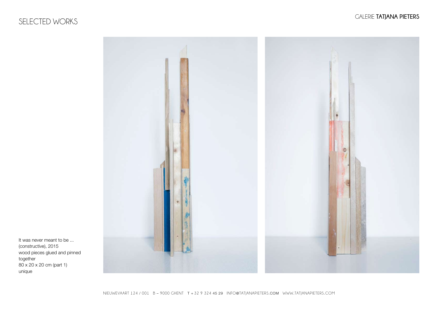## SELECTED WORKS



It was never meant to be ... (constructive), 2015 wood pieces glued and pinned together 80 x 20 x 20 cm (part 1) unique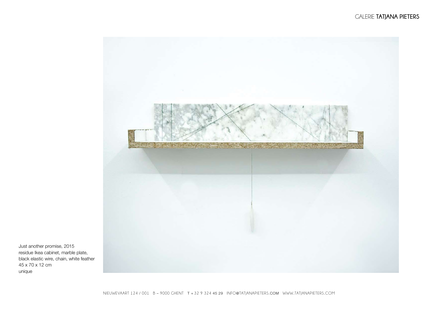

Just another promise, 2015 residue Ikea cabinet, marble plate, black elastic wire, chain, white feather 45 x 70 x 12 cm unique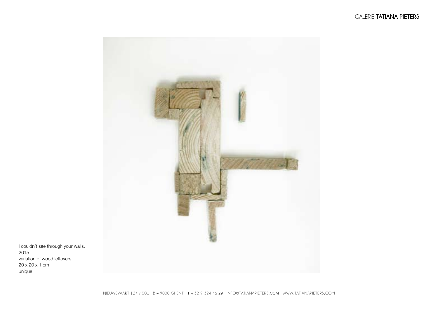

I couldn't see through your walls, 2015 variation of wood leftovers 20 x 20 x 1 cm unique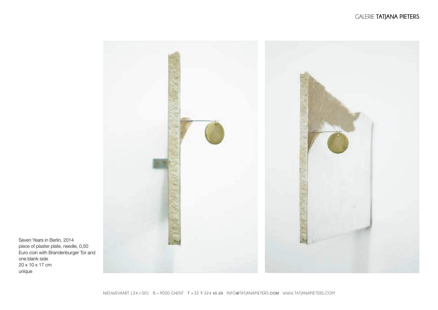

Seven Years in Berlin, 2014 piece of plaster plate, needle, 0,50 Euro coin with Brandenburger Tor and one blank side 20 x 10 x 17 cm unique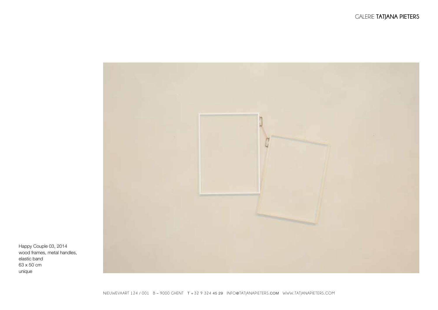

Happy Couple 03, 2014 wood frames, metal handles, elastic band 63 x 50 cm unique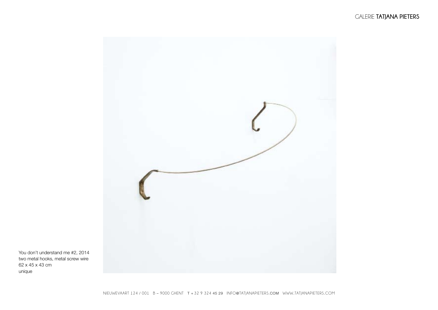

You don't understand me #2, 2014 two metal hooks, metal screw wire 62 x 45 x 43 cm unique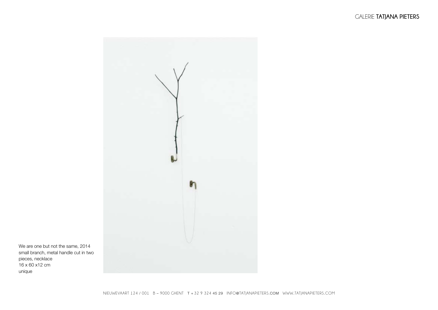

We are one but not the same, 2014 small branch, metal handle cut in two pieces, necklace  $16 \times 60 \times 12$  cm unique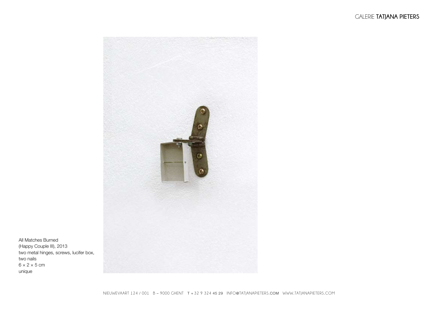

All Matches Burned (Happy Couple III), 2013 two metal hinges, screws, lucifer box, two nails  $6 \times 2 \times 5$  cm unique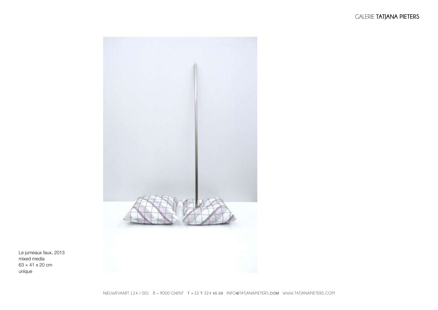

Le jumeaux faux, 2013 mixed media 63 × 41 x 20 cm unique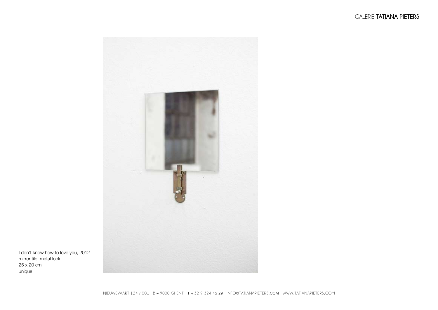

I don't know how to love you, 2012 mirror tile, metal lock 25 x 20 cm unique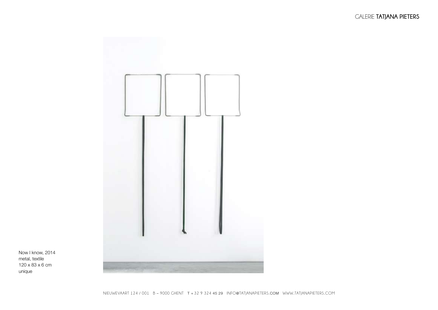

Now I know, 2014 metal, textile 120 x 83 x 6 cm unique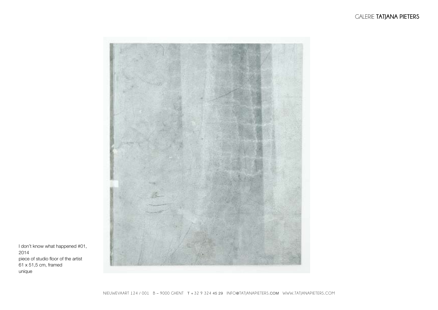

I don't know what happened #01, 2014 piece of studio floor of the artist  $61 \times 51,5$  cm, framed unique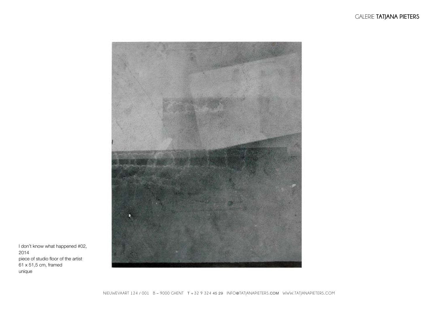

I don't know what happened #02, 2014 piece of studio floor of the artist  $61 \times 51,5$  cm, framed unique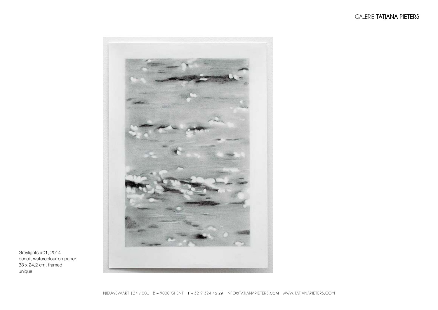

Greylights #01, 2014 pencil, watercolour on paper 33 x 24,2 cm, framed unique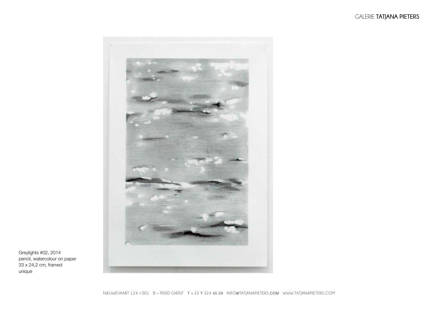

Greylights #02, 2014 pencil, watercolour on paper 33 x 24,2 cm, framed unique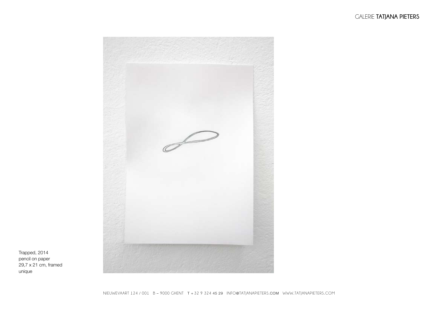

Trapped, 2014 pencil on paper  $29.7 \times 21$  cm, framed unique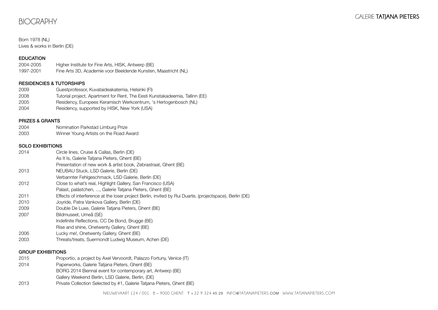## BIOGRAPHY

#### Born 1978 (NL) Lives & works in Berlin (DE)

#### EDUCATION

| 2004-2005 | Higher Institute for Fine Arts, HISK, Antwerp (BE)             |
|-----------|----------------------------------------------------------------|
| 1997-2001 | Fine Arts 3D, Academie voor Beeldende Kunsten, Maastricht (NL) |

#### RESIDENCIES & TUTORSHIPS

| 2009 | Guestprofessor, Kuvataideakatemia, Helsinki (FI)                             |
|------|------------------------------------------------------------------------------|
| 2008 | Tutorial project, Apartment for Rent, The Eesti Kunstakadeemia, Tallinn (EE) |
| 2005 | Residency, Europees Keramisch Werkcentrum, 's Hertogenbosch (NL)             |
| 2004 | Residency, supported by HISK, New York (USA)                                 |

#### PRIZES & GRANTS

- 2004 Nomination Parkstad Limburg Prize
- 2003 Winner Young Artists on the Road Award

#### SOLO EXHIBITIONS

| 2014 | Circle lines, Cruise & Callas, Berlin (DE)<br>As It Is, Galerie Tatiana Pieters, Ghent (BE)             |
|------|---------------------------------------------------------------------------------------------------------|
|      | Presentation of new work & artist book, Zebrastraat, Ghent (BE)                                         |
| 2013 | NEUBAU Stuck, LSD Galerie, Berlin (DE)                                                                  |
|      | Verbannter Fehlgeschmack, LSD Galerie, Berlin (DE)                                                      |
| 2012 | Close to what's real, Highlight Gallery, San Francisco (USA)                                            |
|      | Palast, palästchen, , Galerie Tatiana Pieters, Ghent (BE)                                               |
| 2011 | Effects of interference at the loser project Berlin, invited by Rui Duarte, (projectspace), Berlin (DE) |
| 2010 | Joyride, Patra Vankova Gallery, Berlin (DE)                                                             |
| 2009 | Double De Luxe, Galerie Tatiana Pieters, Ghent (BE)                                                     |
| 2007 | Bildmuseet, Umeå (SE)                                                                                   |
|      | Indefinite Reflections, CC De Bond, Brugge (BE)                                                         |
|      | Rise and shine, Onetwenty Gallery, Ghent (BE)                                                           |
| 2006 | Lucky me!, Onetwenty Gallery, Ghent (BE)                                                                |
| 2003 | Threats/treats, Suermondt Ludwig Museum, Achen (DE)                                                     |
|      |                                                                                                         |

#### GROUP EXHIBITIONS

2015 Proportio, a project by Axel Vervoordt, Palazzo Fortuny, Venice (IT) 2014 Paperworks, Galerie Tatjana Pieters, Ghent (BE) BORG 2014 Biennal event for contemporary art, Antwerp (BE) Gallery Weekend Berlin, LSD Galerie, Berlin, (DE) 2013 Private Collection Selected by #1, Galerie Tatjana Pieters, Ghent (BE)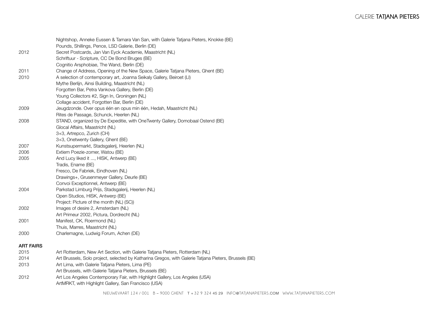|                  | Nightshop, Anneke Eussen & Tamara Van San, with Galerie Tatjana Pieters, Knokke (BE)                  |
|------------------|-------------------------------------------------------------------------------------------------------|
|                  | Pounds, Shillings, Pence, LSD Galerie, Berlin (DE)                                                    |
| 2012             | Secret Postcards, Jan Van Eyck Academie, Maastricht (NL)                                              |
|                  | Schriftuur - Scripture, CC De Bond Bruges (BE)                                                        |
|                  | Cognitio Arsphobiae, The Wand, Berlin (DE)                                                            |
| 2011             | Change of Address, Opening of the New Space, Galerie Tatjana Pieters, Ghent (BE)                      |
| 2010             | A selection of contemporary art, Joanna Seikaly Gallery, Beiroet (LI)                                 |
|                  | Mythe Berlijn, Ainsi Building, Maastricht (NL)                                                        |
|                  | Forgotten Bar, Petra Vankova Gallery, Berlin (DE)                                                     |
|                  | Young Collectors #2, Sign In, Groningen (NL)                                                          |
|                  | Collage accident, Forgotten Bar, Berlin (DE)                                                          |
| 2009             | Jeugdzonde. Over opus één en opus min één, Hedah, Maastricht (NL)                                     |
|                  | Rites de Passage, Schunck, Heerlen (NL)                                                               |
| 2008             | STAND, organized by De Expeditie, with OneTwenty Gallery, Domobaal Ostend (BE)                        |
|                  | Glocal Affairs, Maastricht (NL)                                                                       |
|                  | 3+3, Artrepco, Zurich (CH)                                                                            |
|                  | 3+3, Onetwenty Gallery, Ghent (BE)                                                                    |
| 2007             | Kunstsupermarkt, Stadsgalerij, Heerlen (NL)                                                           |
| 2006             | Extiem Poezie-zomer, Watou (BE)                                                                       |
| 2005             | And Lucy liked it , HISK, Antwerp (BE)                                                                |
|                  | Tradis, Ename (BE)                                                                                    |
|                  | Fresco, De Fabriek, Eindhoven (NL)                                                                    |
|                  | Drawings+, Grusenmeyer Gallery, Deurle (BE)                                                           |
|                  | Convoi Exceptionnel, Antwerp (BE)                                                                     |
| 2004             | Parkstad Limburg Prijs, Stadsgalerij, Heerlen (NL)                                                    |
|                  | Open Studios, HISK, Antwerp (BE)                                                                      |
|                  | Project: Picture of the month (NL) (SC))                                                              |
| 2002             | Images of desire 2, Amsterdam (NL)                                                                    |
|                  | Art Primeur 2002, Pictura, Dordrecht (NL)                                                             |
| 2001             | Manifest, CK, Roermond (NL)                                                                           |
|                  | Thuis, Marres, Maastricht (NL)                                                                        |
| 2000             | Charlemagne, Ludwig Forum, Achen (DE)                                                                 |
| <b>ART FAIRS</b> |                                                                                                       |
| 2015             | Art Rotterdam, New Art Section, with Galerie Tatjana Pieters, Rotterdam (NL)                          |
| 2014             | Art Brussels, Solo project, selected by Katharina Gregos, with Galerie Tatjana Pieters, Brussels (BE) |
| 2013             | Art Lima, with Galerie Tatjana Pieters, Lima (PE)                                                     |
|                  | Art Brussels, with Galerie Tatjana Pieters, Brussels (BE)                                             |

2012 Art Los Angeles Contemporary Fair, with Highlight Gallery, Los Angeles (USA) ArtMRKT, with Highlight Gallery, San Francisco (USA)